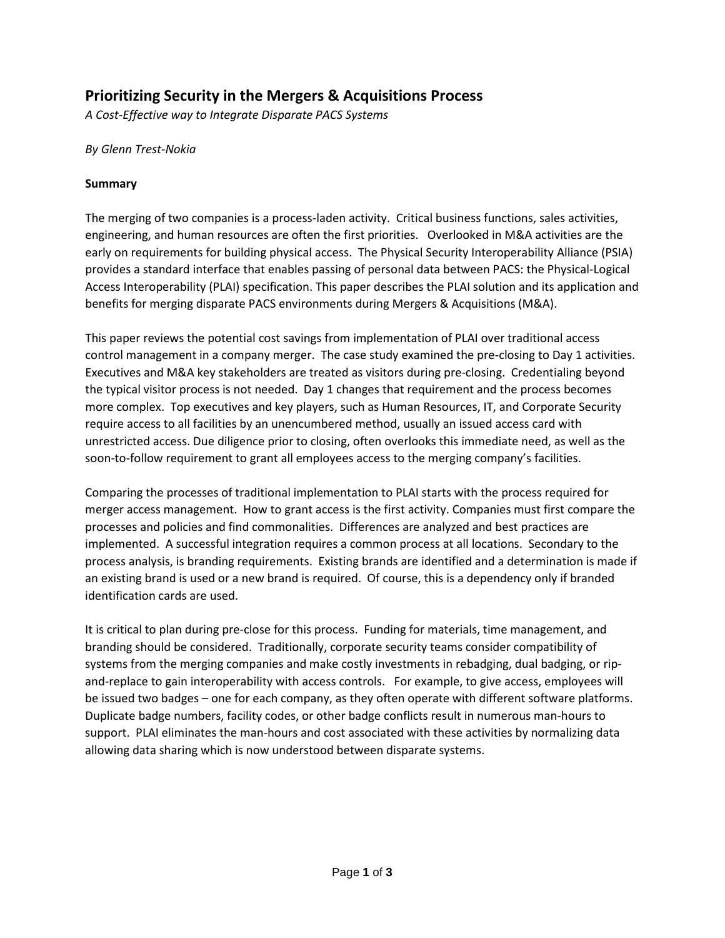# **Prioritizing Security in the Mergers & Acquisitions Process**

*A Cost-Effective way to Integrate Disparate PACS Systems*

## *By Glenn Trest-Nokia*

#### **Summary**

The merging of two companies is a process-laden activity. Critical business functions, sales activities, engineering, and human resources are often the first priorities. Overlooked in M&A activities are the early on requirements for building physical access. The Physical Security Interoperability Alliance (PSIA) provides a standard interface that enables passing of personal data between PACS: the Physical-Logical Access Interoperability (PLAI) specification. This paper describes the PLAI solution and its application and benefits for merging disparate PACS environments during Mergers & Acquisitions (M&A).

This paper reviews the potential cost savings from implementation of PLAI over traditional access control management in a company merger. The case study examined the pre-closing to Day 1 activities. Executives and M&A key stakeholders are treated as visitors during pre-closing. Credentialing beyond the typical visitor process is not needed. Day 1 changes that requirement and the process becomes more complex. Top executives and key players, such as Human Resources, IT, and Corporate Security require access to all facilities by an unencumbered method, usually an issued access card with unrestricted access. Due diligence prior to closing, often overlooks this immediate need, as well as the soon-to-follow requirement to grant all employees access to the merging company's facilities.

Comparing the processes of traditional implementation to PLAI starts with the process required for merger access management. How to grant access is the first activity. Companies must first compare the processes and policies and find commonalities. Differences are analyzed and best practices are implemented. A successful integration requires a common process at all locations. Secondary to the process analysis, is branding requirements. Existing brands are identified and a determination is made if an existing brand is used or a new brand is required. Of course, this is a dependency only if branded identification cards are used.

It is critical to plan during pre-close for this process. Funding for materials, time management, and branding should be considered. Traditionally, corporate security teams consider compatibility of systems from the merging companies and make costly investments in rebadging, dual badging, or ripand-replace to gain interoperability with access controls. For example, to give access, employees will be issued two badges – one for each company, as they often operate with different software platforms. Duplicate badge numbers, facility codes, or other badge conflicts result in numerous man-hours to support. PLAI eliminates the man-hours and cost associated with these activities by normalizing data allowing data sharing which is now understood between disparate systems.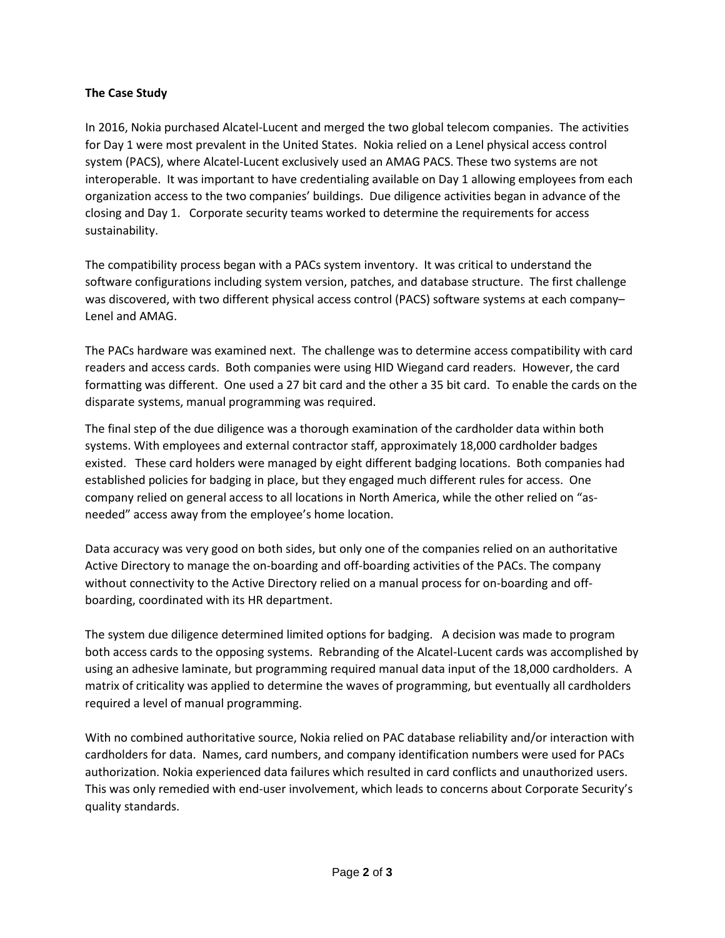## **The Case Study**

In 2016, Nokia purchased Alcatel-Lucent and merged the two global telecom companies. The activities for Day 1 were most prevalent in the United States. Nokia relied on a Lenel physical access control system (PACS), where Alcatel-Lucent exclusively used an AMAG PACS. These two systems are not interoperable. It was important to have credentialing available on Day 1 allowing employees from each organization access to the two companies' buildings. Due diligence activities began in advance of the closing and Day 1. Corporate security teams worked to determine the requirements for access sustainability.

The compatibility process began with a PACs system inventory. It was critical to understand the software configurations including system version, patches, and database structure. The first challenge was discovered, with two different physical access control (PACS) software systems at each company– Lenel and AMAG.

The PACs hardware was examined next. The challenge was to determine access compatibility with card readers and access cards. Both companies were using HID Wiegand card readers. However, the card formatting was different. One used a 27 bit card and the other a 35 bit card. To enable the cards on the disparate systems, manual programming was required.

The final step of the due diligence was a thorough examination of the cardholder data within both systems. With employees and external contractor staff, approximately 18,000 cardholder badges existed. These card holders were managed by eight different badging locations. Both companies had established policies for badging in place, but they engaged much different rules for access. One company relied on general access to all locations in North America, while the other relied on "asneeded" access away from the employee's home location.

Data accuracy was very good on both sides, but only one of the companies relied on an authoritative Active Directory to manage the on-boarding and off-boarding activities of the PACs. The company without connectivity to the Active Directory relied on a manual process for on-boarding and offboarding, coordinated with its HR department.

The system due diligence determined limited options for badging. A decision was made to program both access cards to the opposing systems. Rebranding of the Alcatel-Lucent cards was accomplished by using an adhesive laminate, but programming required manual data input of the 18,000 cardholders. A matrix of criticality was applied to determine the waves of programming, but eventually all cardholders required a level of manual programming.

With no combined authoritative source, Nokia relied on PAC database reliability and/or interaction with cardholders for data. Names, card numbers, and company identification numbers were used for PACs authorization. Nokia experienced data failures which resulted in card conflicts and unauthorized users. This was only remedied with end-user involvement, which leads to concerns about Corporate Security's quality standards.